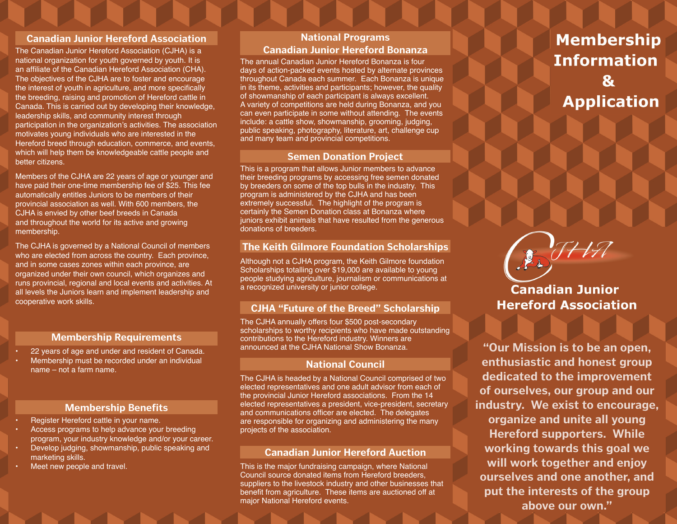#### **Canadian Junior Hereford Association**

The Canadian Junior Hereford Association (CJHA) is a national organization for youth governed by youth. It is an affiliate of the Canadian Hereford Association (CHA). The objectives of the CJHA are to foster and encourage the interest of youth in agriculture, and more specifically the breeding, raising and promotion of Hereford cattle in Canada. This is carried out by developing their knowledge, leadership skills, and community interest through participation in the organization's activities. The association motivates young individuals who are interested in the Hereford breed through education, commerce, and events, which will help them be knowledgeable cattle people and better citizens.

Members of the CJHA are 22 years of age or younger and have paid their one-time membership fee of \$25. This fee automatically entitles Juniors to be members of their provincial association as well. With 600 members, the CJHA is envied by other beef breeds in Canada and throughout the world for its active and growing membership.

The CJHA is governed by a National Council of members who are elected from across the country. Each province, and in some cases zones within each province, are organized under their own council, which organizes and runs provincial, regional and local events and activities. At all levels the Juniors learn and implement leadership and cooperative work skills.

### **Membership Requirements**

- 22 years of age and under and resident of Canada.
- Membership must be recorded under an individual name – not a farm name.

#### **Membership Benefits**

- Register Hereford cattle in your name.
- Access programs to help advance your breeding program, your industry knowledge and/or your career.
- Develop judging, showmanship, public speaking and marketing skills.
- Meet new people and travel.

# **National Programs Canadian Junior Hereford Bonanza**

The annual Canadian Junior Hereford Bonanza is four days of action-packed events hosted by alternate provinces throughout Canada each summer. Each Bonanza is unique in its theme, activities and participants; however, the quality of showmanship of each participant is always excellent. A variety of competitions are held during Bonanza, and you can even participate in some without attending. The events include: a cattle show, showmanship, grooming, judging, public speaking, photography, literature, art, challenge cup and many team and provincial competitions.

### **Semen Donation Project**

This is a program that allows Junior members to advance their breeding programs by accessing free semen donated by breeders on some of the top bulls in the industry. This program is administered by the CJHA and has been extremely successful. The highlight of the program is certainly the Semen Donation class at Bonanza where juniors exhibit animals that have resulted from the generous donations of breeders.

## **The Keith Gilmore Foundation Scholarships**

Although not a CJHA program, the Keith Gilmore foundation Scholarships totalling over \$19,000 are available to young people studying agriculture, journalism or communications at a recognized university or junior college.

## **CJHA "Future of the Breed" Scholarship**

The CJHA annually offers four \$500 post-secondary scholarships to worthy recipients who have made outstanding contributions to the Hereford industry. Winners are announced at the CJHA National Show Bonanza.

## **National Council**

The CJHA is headed by a National Council comprised of two elected representatives and one adult advisor from each of the provincial Junior Hereford associations. From the 14 elected representatives a president, vice-president, secretary and communications officer are elected. The delegates are responsible for organizing and administering the many projects of the association.

### **Canadian Junior Hereford Auction**

This is the major fundraising campaign, where National Council source donated items from Hereford breeders, suppliers to the livestock industry and other businesses that benefit from agriculture. These items are auctioned off at major National Hereford events.

# **Membership Information Application**

**Canadian Junior Hereford Association** 

BIHA

**"Our Mission is to be an open, enthusiastic and honest group dedicated to the improvement of ourselves, our group and our industry. We exist to encourage, organize and unite all young Hereford supporters. While working towards this goal we will work together and enjoy ourselves and one another, and put the interests of the group above our own."**